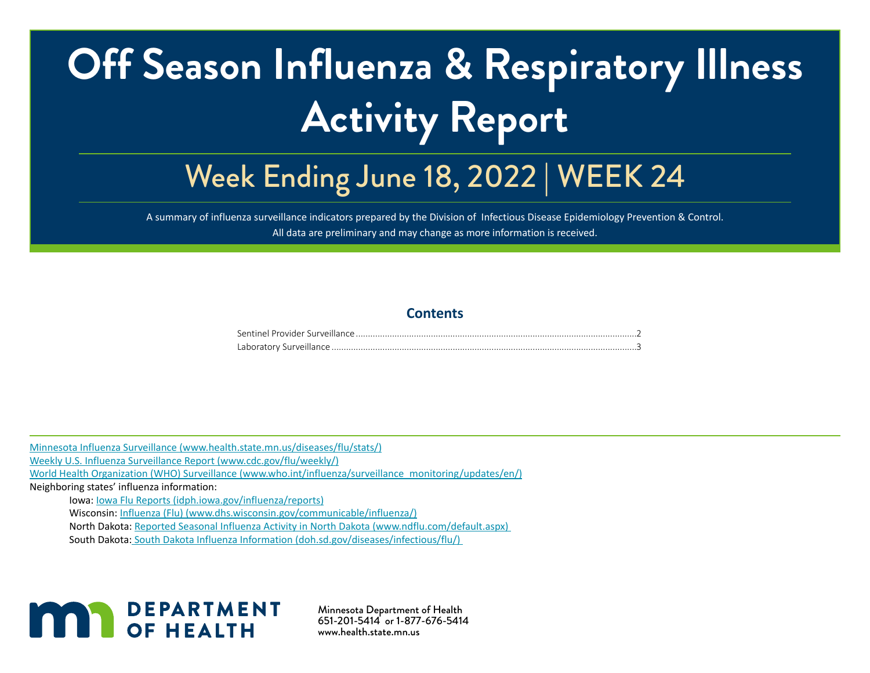# **Off Season Influenza & Respiratory Illness Activity Report**

# Week Ending June 18, 2022 | WEEK 24

A summary of influenza surveillance indicators prepared by the Division of Infectious Disease Epidemiology Prevention & Control. All data are preliminary and may change as more information is received.

#### **Contents**

[Minnesota Influenza Surveillance \(www.health.state.mn.us/diseases/flu/stats/\)](http://Minnesota Influenza Surveillance (www.health.state.mn.us/diseases/flu/stats/))

[Weekly U.S. Influenza Surveillance Report \(www.cdc.gov/flu/weekly/\)](http://Weekly U.S. Influenza Surveillance Report (www.cdc.gov/flu/weekly/))

[World Health Organization \(WHO\) Surveillance \(www.who.int/influenza/surveillance\\_monitoring/updates/en/\)](http://World Health Organization (WHO) Surveillance (www.who.int/influenza/surveillance_monitoring/updates/en/) )

Neighboring states' influenza information:

Iowa: [Iowa Flu Reports \(idph.iowa.gov/influenza/reports\)](http://Iowa Flu Reports (idph.iowa.gov/influenza/reports))

Wisconsin: [Influenza \(Flu\) \(www.dhs.wisconsin.gov/communicable/influenza/\)](http://Influenza (Flu) (www.dhs.wisconsin.gov/communicable/influenza/) )

North Dakota: [Reported Seasonal Influenza Activity in North Dakota \(www.ndflu.com/default.aspx\)](http://Reported Seasonal Influenza Activity in North Dakota (www.ndflu.com/default.aspx) ) 

South Dakota[: South Dakota Influenza Information \(doh.sd.gov/diseases/infectious/flu/\)](http:// South Dakota Influenza Information (doh.sd.gov/diseases/infectious/flu/)  ) 



Minnesota Department of Health 651-201-5414 or 1-877-676-5414 www.health.state.mn.us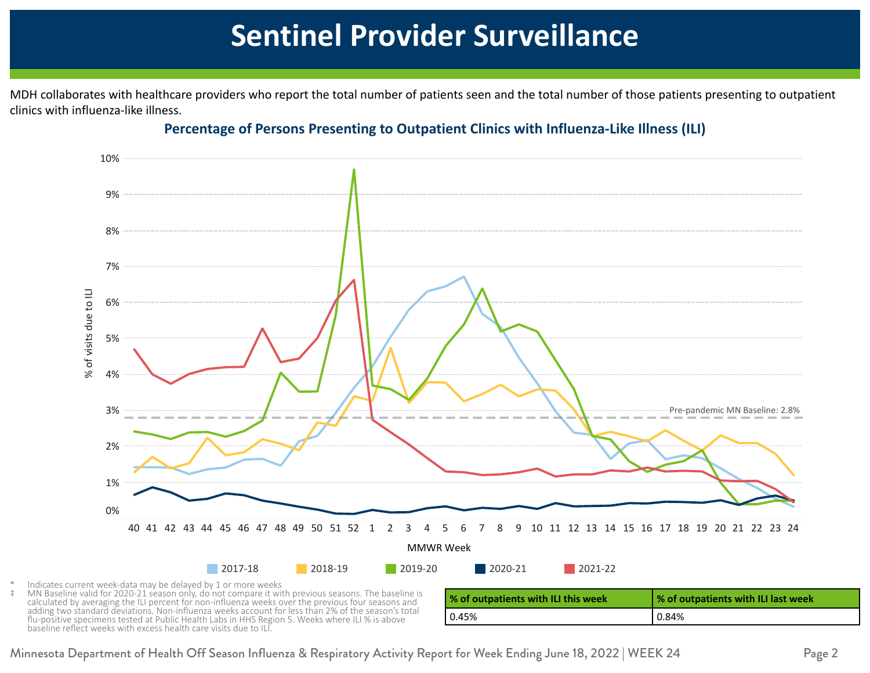## **Sentinel Provider Surveillance**

<span id="page-1-0"></span>45 6.0 1.0 4.0 4.0 1.0 MDH collaborates with healthcare providers who report the total number of patients seen and the total number of those patients presenting to outpatient clinics with influenza-like illness.



### 48 9.0 0.0 7.0 1.0 1.0 **Percentage of Persons Presenting to Outpatient Clinics with Influenza-Like Illness (ILI)**

Indicates current week-data may be delayed by 1 or more weeks

MN Baseline valid for 2020-21 season only, do not compare it with previous seasons. The baseline is calculated by averaging the ILI percent for non-influenza weeks over the previous four seasons and adding two standard deviations. Non-influenza weeks account for less than 2% of the season's total flu-positive specimens tested at Public Health Labs in HHS Region 5. Weeks where ILI % is above baseline reflect weeks with excess health care visits due to ILI.

| % of outpatients with ILI this week | % of outpatients with ILI last week |
|-------------------------------------|-------------------------------------|
| 0.45%                               | l 0.84%                             |

Minnesota Department of Health Off Season Influenza & Respiratory Activity Report for Week Ending June 18, 2022 | WEEK 24 Page 2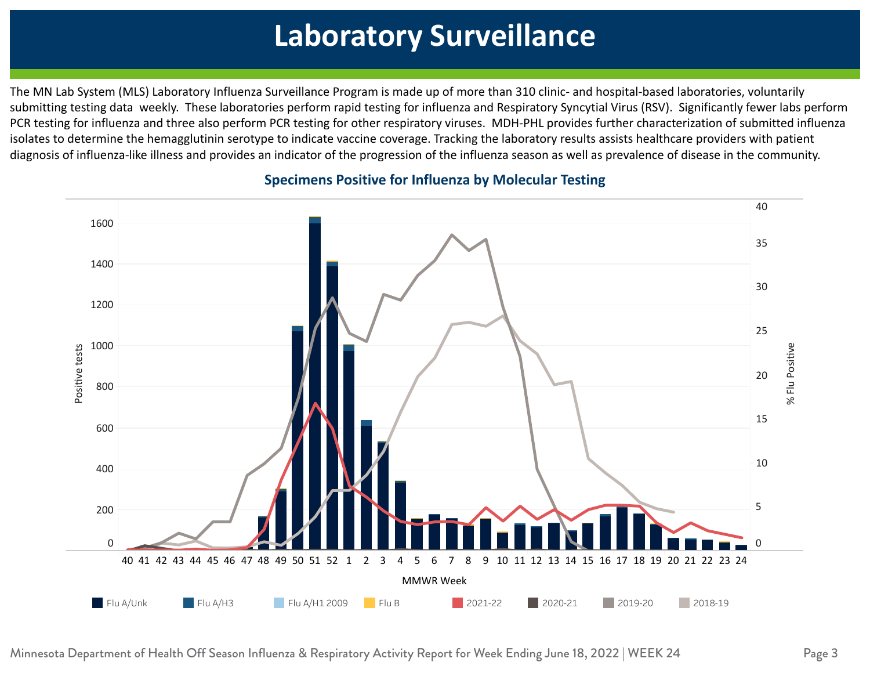#### <span id="page-2-0"></span> $\mathbf{1}_{\mathbf{1}_{\mathbf{1}}}$  , and the contract of  $\mathbf{1}_{\mathbf{1}}$  , and the contract of  $\mathbf{1}_{\mathbf{1}}$  , and the contract of  $\mathbf{1}_{\mathbf{1}}$  0.10 0.60 0.34 0.12 4 2 **Laboratory Surveillance**

 $\frac{1}{\sqrt{25}}$  0.09 0.35  $\frac{1}{\sqrt{25}}$  0.35  $\frac{1}{\sqrt{25}}$  0.35  $\frac{1}{\sqrt{25}}$  0.35  $\frac{1}{\sqrt{25}}$  0.35  $\frac{1}{\sqrt{25}}$  0.35  $\frac{1}{\sqrt{25}}$  0.35  $\frac{1}{\sqrt{25}}$  0.35  $\frac{1}{\sqrt{25}}$  0.35  $\frac{1}{\sqrt{25}}$  0.35  $\frac{1}{\sqrt{25}}$  0.35  $\frac{1}{\$ The MN Lab System (MLS) Laboratory Influenza Surveillance Program is made up of more than 310 clinic- and hospital-based laboratories, voluntarily submitting testing data weekly. These laboratories perform rapid testing for influenza and Respiratory Syncytial Virus (RSV). Significantly fewer labs perform PCR testing for influenza and three also perform PCR testing for other respiratory viruses. MDH-PHL provides further characterization of submitted influenza  $49.08 \pm 0.09$  and  $49.08 \pm 0.09$  11.69  $\pm 0.09$  11.69  $\pm 0.09$  11.69  $\pm 0.09$ isolates to determine the hemagglutinin serotype to indicate vaccine coverage. Tracking the laboratory results assists healthcare providers with patient diagnosis of influenza-like illness and provides an indicator of the progression of the influenza season as well as prevalence of disease in the community.



#### **1 11.39 1.39 Specimens Positive for Influenza by Molecular Testing** 2 6.12 8.65 29.65 29.65 29.65 29.65 29.65 29.65 29.65 29.65 29.65 29.65 29.65 29.65 29.65 29.65 29.65 29.65 29